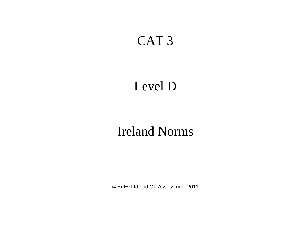## CAT 3

# Level D

## Ireland Norms

© EdEv Ltd and GL-Assessment 2011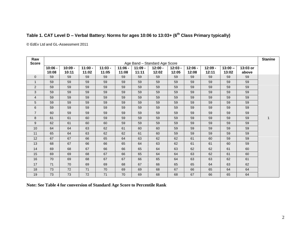#### **Table 1. CAT Level D – Verbal Battery: Norms for ages 10:06 to 13:03+ (6 th Class Primary typically)**

© EdEv Ltd and GL-Assessment 2011

| Raw<br><b>Score</b> |                    |                    |                    |                    |                    |                    | Age Band - Standard Age Score |                    |                    |                    |                    |                   | <b>Stanine</b> |
|---------------------|--------------------|--------------------|--------------------|--------------------|--------------------|--------------------|-------------------------------|--------------------|--------------------|--------------------|--------------------|-------------------|----------------|
|                     | $10:06 -$<br>10:08 | $10:09 -$<br>10:11 | $11:00 -$<br>11:02 | $11:03 -$<br>11:05 | $11:06 -$<br>11:08 | $11:09 -$<br>11:11 | $12:00 -$<br>12:02            | $12:03 -$<br>12:05 | $12:06 -$<br>12:08 | $12:09 -$<br>12:11 | $13:00 -$<br>13:02 | 13:03 or<br>above |                |
| $\Omega$            | 59                 | 59                 | 59                 | 59                 | 59                 | 59                 | 59                            | 59                 | 59                 | 59                 | 59                 | 59                |                |
|                     | 59                 | 59                 | 59                 | 59                 | 59                 | 59                 | 59                            | 59                 | 59                 | 59                 | 59                 | 59                |                |
| 2                   | 59                 | 59                 | 59                 | 59                 | 59                 | 59                 | 59                            | 59                 | 59                 | 59                 | 59                 | 59                |                |
| 3                   | 59                 | 59                 | 59                 | 59                 | 59                 | 59                 | 59                            | 59                 | 59                 | 59                 | 59                 | 59                |                |
| $\overline{4}$      | 59                 | 59                 | 59                 | 59                 | 59                 | 59                 | 59                            | 59                 | 59                 | 59                 | 59                 | 59                |                |
| 5                   | 59                 | 59                 | 59                 | 59                 | 59                 | 59                 | 59                            | 59                 | 59                 | 59                 | 59                 | 59                |                |
| 6                   | 59                 | 59                 | 59                 | 59                 | 59                 | 59                 | 59                            | 59                 | 59                 | 59                 | 59                 | 59                |                |
| $\overline{7}$      | 60                 | 59                 | 59                 | 59                 | 59                 | 59                 | 59                            | 59                 | 59                 | 59                 | 59                 | 59                |                |
| 8                   | 61                 | 61                 | 60                 | 59                 | 59                 | 59                 | 59                            | 59                 | 59                 | 59                 | 59                 | 59                |                |
| 9                   | 62                 | 61                 | 60                 | 60                 | 59                 | 59                 | 59                            | 59                 | 59                 | 59                 | 59                 | 59                |                |
| 10                  | 64                 | 64                 | 63                 | 62                 | 61                 | 60                 | 60                            | 59                 | 59                 | 59                 | 59                 | 59                |                |
| 11                  | 65                 | 64                 | 63                 | 62                 | 62                 | 61                 | 60                            | 59                 | 59                 | 59                 | 59                 | 59                |                |
| 12                  | 67                 | 67                 | 66                 | 65                 | 64                 | 63                 | 62                            | 62                 | 61                 | 60                 | 59                 | 59                |                |
| 13                  | 68                 | 67                 | 66                 | 66                 | 65                 | 64                 | 63                            | 62                 | 61                 | 61                 | 60                 | 59                |                |
| 14                  | 69                 | 68                 | 67                 | 66                 | 66                 | 65                 | 64                            | 63                 | 62                 | 62                 | 61                 | 60                |                |
| 15                  | 69                 | 69                 | 68                 | 67                 | 66                 | 65                 | 64                            | 64                 | 63                 | 62                 | 61                 | 60                |                |
| 16                  | 70                 | 69                 | 68                 | 67                 | 67                 | 66                 | 65                            | 64                 | 63                 | 63                 | 62                 | 61                |                |
| 17                  | 71                 | 70                 | 69                 | 69                 | 68                 | 67                 | 66                            | 65                 | 65                 | 64                 | 63                 | 62                |                |
| 18                  | 73                 | 72                 | 71                 | 70                 | 69                 | 69                 | 68                            | 67                 | 66                 | 65                 | 64                 | 64                |                |
| 19                  | 73                 | 73                 | 72                 | 71                 | 70                 | 69                 | 68                            | 68                 | 67                 | 66                 | 65                 | 64                |                |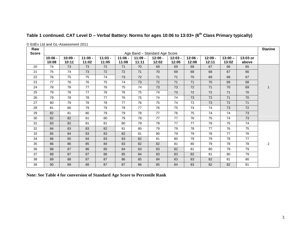| Table 1 continued. CAT Level D - Verbal Battery: Norms for ages 10:06 to 13:03+ (6 <sup>th</sup> Class Primary typically) |  |  |
|---------------------------------------------------------------------------------------------------------------------------|--|--|
|---------------------------------------------------------------------------------------------------------------------------|--|--|

| Raw          |           |           |           |           |           |           |                                            |           |           |           |           |          | <b>Stanine</b> |
|--------------|-----------|-----------|-----------|-----------|-----------|-----------|--------------------------------------------|-----------|-----------|-----------|-----------|----------|----------------|
| <b>Score</b> | $10:06 -$ | $10:09 -$ | $11:00 -$ | $11:03 -$ | $11:06 -$ | $11:09 -$ | Age Band - Standard Age Score<br>$12:00 -$ | $12:03 -$ | $12:06 -$ | $12:09 -$ | $13:00 -$ | 13:03 or |                |
|              | 10:08     | 10:11     | 11:02     | 11:05     | 11:08     | 11:11     | 12:02                                      | 12:05     | 12:08     | 12:11     | 13:02     | above    |                |
| 20           | 74        | 73        | 73        | 72        | 71        | 70        | 69                                         | 69        | 68        | 67        | 66        | 65       |                |
| 21           | 75        | 74        | 73        | 72        | 72        | 71        | 70                                         | 69        | 68        | 68        | 67        | 66       |                |
| 22           | 76        | 75        | 75        | 74        | 73        | 72        | 71                                         | 71        | 70        | 69        | 68        | 67       |                |
| 23           | 77        | 76        | 76        | 75        | 74        | 73        | 72                                         | 71        | 71        | 70        | 69        | 68       |                |
| 24           | 78        | 78        | 77        | 76        | 75        | 74        | 73                                         | 73        | 72        | 71        | 70        | 69       | 1              |
| 25           | 79        | 78        | 77        | 76        | 76        | 75        | 74                                         | 73        | 72        | 72        | 71        | 70       |                |
| 26           | 79        | 78        | 78        | 77        | 76        | 75        | 74                                         | 74        | 73        | 72        | 71        | 70       |                |
| 27           | 80        | 79        | 78        | 78        | 77        | 76        | 75                                         | 74        | 73        | 73        | 72        | 71       |                |
| 28           | 81        | 80        | 79        | 79        | 78        | 77        | 76                                         | 75        | 74        | 74        | 73        | 72       |                |
| 29           | 82        | 81        | 80        | 79        | 79        | 78        | 77                                         | 76        | 75        | 74        | 74        | 73       |                |
| 30           | 82        | 82        | 81        | 80        | 79        | 78        | 77                                         | 77        | 76        | 75        | 74        | 73       |                |
| 31           | 83        | 82        | 81        | 81        | 80        | 79        | 78                                         | 77        | 77        | 76        | 75        | 74       |                |
| 32           | 84        | 83        | 83        | 82        | 81        | 80        | 79                                         | 79        | 78        | 77        | 76        | 75       |                |
| 33           | 85        | 84        | 83        | 83        | 82        | 81        | 80                                         | 79        | 79        | 78        | 77        | 76       |                |
| 34           | 86        | 85        | 84        | 83        | 83        | 82        | 81                                         | 80        | 79        | 79        | 78        | 77       |                |
| 35           | 86        | 86        | 85        | 84        | 83        | 82        | 82                                         | 81        | 80        | 79        | 78        | 78       | 2              |
| 36           | 88        | 87        | 86        | 85        | 84        | 83        | 83                                         | 82        | 81        | 80        | 79        | 79       |                |
| 37           | 88        | 87        | 87        | 86        | 85        | 84        | 83                                         | 83        | 82        | 81        | 80        | 79       |                |
| 38           | 89        | 88        | 87        | 87        | 86        | 85        | 84                                         | 83        | 83        | 82        | 81        | 80       |                |
| 39           | 90        | 89        | 88        | 87        | 87        | 86        | 85                                         | 84        | 83        | 82        | 82        | 81       |                |

© EdEv Ltd and GL-Assessment 2011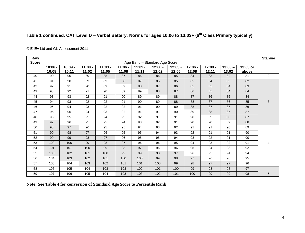### **Table 1 continued. CAT Level D – Verbal Battery: Norms for ages 10:06 to 13:03+ (6th Class Primary typically)**

| Raw<br><b>Score</b> |                    |                    |                    |                    |                    |                    | Age Band - Standard Age Score |                    |                    |                    |                    |                   | <b>Stanine</b> |
|---------------------|--------------------|--------------------|--------------------|--------------------|--------------------|--------------------|-------------------------------|--------------------|--------------------|--------------------|--------------------|-------------------|----------------|
|                     | $10:06 -$<br>10:08 | $10:09 -$<br>10:11 | $11:00 -$<br>11:02 | $11:03 -$<br>11:05 | $11:06 -$<br>11:08 | $11:09 -$<br>11:11 | $12:00 -$<br>12:02            | $12:03 -$<br>12:05 | $12:06 -$<br>12:08 | $12:09 -$<br>12:11 | $13:00 -$<br>13:02 | 13:03 or<br>above |                |
| 40                  | 90                 | 90                 | 89                 | 88                 | 87                 | 86                 | 86                            | 85                 | 84                 | 83                 | 82                 | 81                | $\overline{2}$ |
| 41                  | 91                 | 90                 | 89                 | 89                 | 88                 | 87                 | 86                            | 85                 | 85                 | 84                 | 83                 | 82                |                |
| 42                  | 92                 | 91                 | 90                 | 89                 | 89                 | 88                 | 87                            | 86                 | 85                 | 85                 | 84                 | 83                |                |
| 43                  | 93                 | 92                 | 91                 | 90                 | 89                 | 89                 | 88                            | 87                 | 86                 | 85                 | 84                 | 84                |                |
| 44                  | 93                 | 93                 | 92                 | 91                 | 90                 | 89                 | 89                            | 88                 | 87                 | 86                 | 85                 | 84                |                |
| 45                  | 94                 | 93                 | 92                 | 92                 | 91                 | 90                 | 89                            | 88                 | 88                 | 87                 | 86                 | 85                | 3              |
| 46                  | 95                 | 94                 | 93                 | 92                 | 92                 | 91                 | 90                            | 89                 | 88                 | 87                 | 87                 | 86                |                |
| 47                  | 95                 | 95                 | 94                 | 93                 | 92                 | 91                 | 91                            | 90                 | 89                 | 88                 | 87                 | 87                |                |
| 48                  | 96                 | 95                 | 95                 | 94                 | 93                 | 92                 | 91                            | 91                 | 90                 | 89                 | 88                 | 87                |                |
| 49                  | 97                 | 96                 | 95                 | 95                 | 94                 | 93                 | 92                            | 91                 | 90                 | 90                 | 89                 | 88                |                |
| 50                  | 98                 | 97                 | 96                 | 95                 | 95                 | 94                 | 93                            | 92                 | 91                 | 91                 | 90                 | 89                |                |
| 51                  | 99                 | 98                 | 97                 | 96                 | 95                 | 95                 | 94                            | 93                 | 92                 | 91                 | 91                 | 90                |                |
| 52                  | 99                 | 99                 | 98                 | 97                 | 96                 | 95                 | 95                            | 94                 | 93                 | 92                 | 91                 | 90                |                |
| 53                  | 100                | 100                | 99                 | 98                 | 97                 | 96                 | 96                            | 95                 | 94                 | 93                 | 92                 | 91                | 4              |
| 54                  | 101                | 101                | 100                | 99                 | 98                 | 97                 | 96                            | 96                 | 95                 | 94                 | 93                 | 92                |                |
| 55                  | 103                | 102                | 101                | 100                | 99                 | 99                 | 98                            | 97                 | 96                 | 95                 | 94                 | 94                |                |
| 56                  | 104                | 103                | 102                | 101                | 100                | 100                | 99                            | 98                 | 97                 | 96                 | 96                 | 95                |                |
| 57                  | 105                | 104                | 103                | 102                | 101                | 101                | 100                           | 99                 | 98                 | 97                 | 97                 | 96                |                |
| 58                  | 106                | 105                | 104                | 103                | 103                | 102                | 101                           | 100                | 99                 | 98                 | 98                 | 97                |                |
| 59                  | 107                | 106                | 105                | 104                | 103                | 103                | 102                           | 101                | 100                | 99                 | 99                 | 98                | 5              |

© EdEv Ltd and GL-Assessment 2011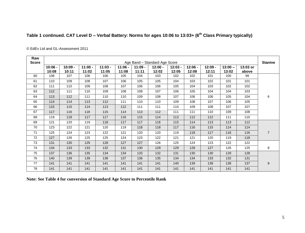### **Table 1 continued. CAT Level D – Verbal Battery: Norms for ages 10:06 to 13:03+ (6th Class Primary typically)**

| Raw<br><b>Score</b> |                    |                    |                    |                    |                    |                    | Age Band - Standard Age Score |                    |                    |                    |                    |                   | <b>Stanine</b> |
|---------------------|--------------------|--------------------|--------------------|--------------------|--------------------|--------------------|-------------------------------|--------------------|--------------------|--------------------|--------------------|-------------------|----------------|
|                     | $10:06 -$<br>10:08 | $10:09 -$<br>10:11 | $11:00 -$<br>11:02 | $11:03 -$<br>11:05 | $11:06 -$<br>11:08 | $11:09 -$<br>11:11 | $12:00 -$<br>12:02            | $12:03 -$<br>12:05 | $12:06 -$<br>12:08 | $12:09 -$<br>12:11 | $13:00 -$<br>13:02 | 13:03 or<br>above |                |
| 60                  | 108                | 107                | 106                | 106                | 105                | 104                | 103                           | 102                | 102                | 101                | 100                | 99                |                |
| 61                  | 110                | 109                | 108                | 107                | 106                | 105                | 105                           | 104                | 103                | 102                | 101                | 101               |                |
| 62                  | 111                | 110                | 109                | 108                | 107                | 106                | 106                           | 105                | 104                | 103                | 102                | 102               |                |
| 63                  | 112                | 111                | 110                | 109                | 108                | 108                | 107                           | 106                | 105                | 104                | 104                | 103               |                |
| 64                  | 113                | 112                | 111                | 110                | 110                | 109                | 108                           | 107                | 106                | 106                | 105                | 104               | 6              |
| 65                  | 114                | 114                | 113                | 112                | 111                | 110                | 110                           | 109                | 108                | 107                | 106                | 105               |                |
| 66                  | 115                | 115                | 114                | 113                | 112                | 111                | 111                           | 110                | 109                | 108                | 107                | 107               |                |
| 67                  | 117                | 116                | 116                | 115                | 114                | 113                | 112                           | 111                | 111                | 110                | 109                | 108               |                |
| 68                  | 119                | 118                | 117                | 117                | 116                | 115                | 114                           | 113                | 112                | 112                | 111                | 110               |                |
| 69                  | 121                | 120                | 119                | 118                | 117                | 117                | 116                           | 115                | 114                | 113                | 113                | 112               |                |
| 70                  | 123                | 122                | 121                | 120                | 119                | 118                | 118                           | 117                | 116                | 115                | 114                | 114               |                |
| 71                  | 125                | 124                | 123                | 122                | 121                | 120                | 120                           | 119                | 118                | 117                | 116                | 116               | $\overline{7}$ |
| 72                  | 127                | 126                | 125                | 125                | 124                | 123                | 122                           | 121                | 121                | 120                | 119                | 118               |                |
| 73                  | 131                | 130                | 129                | 128                | 127                | 127                | 126                           | 125                | 124                | 123                | 122                | 122               |                |
| 74                  | 134                | 133                | 133                | 132                | 131                | 130                | 129                           | 129                | 128                | 127                | 126                | 125               | 8              |
| 75                  | 137                | 136                | 135                | 134                | 134                | 133                | 132                           | 131                | 130                | 130                | 129                | 128               |                |
| 76                  | 140                | 139                | 139                | 138                | 137                | 136                | 135                           | 134                | 134                | 133                | 132                | 131               |                |
| 77                  | 141                | 141                | 141                | 141                | 141                | 141                | 141                           | 140                | 139                | 138                | 138                | 137               | 9              |
| 78                  | 141                | 141                | 141                | 141                | 141                | 141                | 141                           | 141                | 141                | 141                | 141                | 141               |                |

© EdEv Ltd and GL-Assessment 2011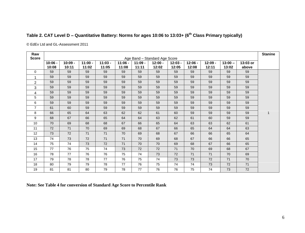| Table 2. CAT Level D - Quantitative Battery: Norms for ages 10:06 to 13:03+ (6 <sup>th</sup> Class Primary typically) |  |  |  |  |  |  |  |  |  |
|-----------------------------------------------------------------------------------------------------------------------|--|--|--|--|--|--|--|--|--|
|-----------------------------------------------------------------------------------------------------------------------|--|--|--|--|--|--|--|--|--|

© EdEv Ltd and GL-Assessment 2011

| Raw<br><b>Score</b> |                    |                    |                    |                    |                    |                    | Age Band - Standard Age Score |                    |                    |                    |                    |                   | <b>Stanine</b> |
|---------------------|--------------------|--------------------|--------------------|--------------------|--------------------|--------------------|-------------------------------|--------------------|--------------------|--------------------|--------------------|-------------------|----------------|
|                     | $10:06 -$<br>10:08 | $10:09 -$<br>10:11 | $11:00 -$<br>11:02 | $11:03 -$<br>11:05 | $11:06 -$<br>11:08 | $11:09 -$<br>11:11 | $12:00 -$<br>12:02            | $12:03 -$<br>12:05 | $12:06 -$<br>12:08 | $12:09 -$<br>12:11 | $13:00 -$<br>13:02 | 13:03 or<br>above |                |
| $\Omega$            | 59                 | 59                 | 59                 | 59                 | 59                 | 59                 | 59                            | 59                 | 59                 | 59                 | 59                 | 59                |                |
| -1                  | 59                 | 59                 | 59                 | 59                 | 59                 | 59                 | 59                            | 59                 | 59                 | 59                 | 59                 | 59                |                |
| $\overline{2}$      | 59                 | 59                 | 59                 | 59                 | 59                 | 59                 | 59                            | 59                 | 59                 | 59                 | 59                 | 59                |                |
| 3                   | 59                 | 59                 | 59                 | 59                 | 59                 | 59                 | 59                            | 59                 | 59                 | 59                 | 59                 | 59                |                |
| 4                   | 59                 | 59                 | 59                 | 59                 | 59                 | 59                 | 59                            | 59                 | 59                 | 59                 | 59                 | 59                |                |
| 5                   | 59                 | 59                 | 59                 | 59                 | 59                 | 59                 | 59                            | 59                 | 59                 | 59                 | 59                 | 59                |                |
| 6                   | 59                 | 59                 | 59                 | 59                 | 59                 | 59                 | 59                            | 59                 | 59                 | 59                 | 59                 | 59                |                |
| $\overline{7}$      | 61                 | 60                 | 59                 | 59                 | 59                 | 59                 | 59                            | 59                 | 59                 | 59                 | 59                 | 59                |                |
| 8                   | 66                 | 65                 | 64                 | 63                 | 62                 | 62                 | 61                            | 60                 | 59                 | 59                 | 59                 | 59                |                |
| 9                   | 68                 | 67                 | 66                 | 65                 | 64                 | 64                 | 63                            | 62                 | 61                 | 60                 | 59                 | 59                |                |
| 10                  | 70                 | 69                 | 68                 | 68                 | 67                 | 66                 | 65                            | 64                 | 63                 | 63                 | 62                 | 61                |                |
| 11                  | 72                 | 71                 | 70                 | 69                 | 69                 | 68                 | 67                            | 66                 | 65                 | 64                 | 64                 | 63                |                |
| 12                  | 73                 | 72                 | 71                 | 71                 | 70                 | 69                 | 68                            | 67                 | 66                 | 66                 | 65                 | 64                |                |
| 13                  | 74                 | 73                 | 72                 | 71                 | 71                 | 70                 | 69                            | 68                 | 67                 | 66                 | 66                 | 65                |                |
| 14                  | 75                 | 74                 | 73                 | 72                 | 71                 | 70                 | 70                            | 69                 | 68                 | 67                 | 66                 | 65                |                |
| 15                  | 77                 | 76                 | 75                 | 74                 | 73                 | 72                 | 72                            | 71                 | 70                 | 69                 | 68                 | 67                |                |
| 16                  | 78                 | 77                 | 76                 | 76                 | 75                 | 74                 | 73                            | 72                 | 71                 | 71                 | 70                 | 69                |                |
| 17                  | 79                 | 78                 | 78                 | 77                 | 76                 | 75                 | 74                            | 73                 | 73                 | 72                 | 71                 | 70                |                |
| 18                  | 80                 | 79                 | 79                 | 78                 | 77                 | 76                 | 75                            | 74                 | 74                 | 73                 | 72                 | 71                |                |
| 19                  | 81                 | 81                 | 80                 | 79                 | 78                 | 77                 | 76                            | 76                 | 75                 | 74                 | 73                 | 72                |                |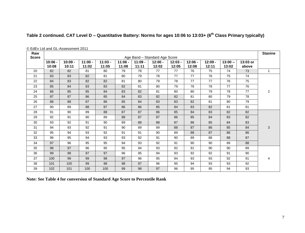|                     |                    | © EdEv Ltd and GL-Assessment 2011 |                    |                    |                    |                    |                               |                    |                    |                    |                    |                   |                |
|---------------------|--------------------|-----------------------------------|--------------------|--------------------|--------------------|--------------------|-------------------------------|--------------------|--------------------|--------------------|--------------------|-------------------|----------------|
| Raw<br><b>Score</b> |                    |                                   |                    |                    |                    |                    | Age Band - Standard Age Score |                    |                    |                    |                    |                   | <b>Stanine</b> |
|                     | $10:06 -$<br>10:08 | $10:09 -$<br>10:11                | $11:00 -$<br>11:02 | $11:03 -$<br>11:05 | $11:06 -$<br>11:08 | $11:09 -$<br>11:11 | $12:00 -$<br>12:02            | $12:03 -$<br>12:05 | $12:06 -$<br>12:08 | $12:09 -$<br>12:11 | $13:00 -$<br>13:02 | 13:03 or<br>above |                |
| 20                  | 82                 | 82                                | 81                 | 80                 | 79                 | 78                 | 77                            | 77                 | 76                 | 75                 | 74                 | 73                | $\mathbf{1}$   |
| 21                  | 83                 | 83                                | 82                 | 81                 | 80                 | 79                 | 78                            | 77                 | 77                 | 76                 | 75                 | 74                |                |
| 22                  | 84                 | 83                                | 82                 | 82                 | 81                 | 80                 | 79                            | 78                 | 77                 | 77                 | 76                 | 75                |                |
| 23                  | 85                 | 84                                | 83                 | 83                 | 82                 | 81                 | 80                            | 79                 | 78                 | 78                 | 77                 | 76                |                |
| 24                  | 86                 | 85                                | 85                 | 84                 | 83                 | 82                 | 81                            | 80                 | 80                 | 79                 | 78                 | 77                | 2              |
| 25                  | 87                 | 87                                | 86                 | 85                 | 84                 | 83                 | 82                            | 82                 | 81                 | 80                 | 79                 | 78                |                |
| 26                  | 88                 | 88                                | 87                 | 86                 | 85                 | 84                 | 83                            | 83                 | 82                 | 81                 | 80                 | 79                |                |
| 27                  | 90                 | 89                                | 88                 | 87                 | 86                 | 86                 | 85                            | 84                 | 83                 | 82                 | 81                 | 81                |                |
| 28                  | 91                 | 90                                | 89                 | 88                 | 87                 | 87                 | 86                            | 85                 | 84                 | 83                 | 82                 | 82                |                |
| 29                  | 92                 | 91                                | 90                 | 89                 | 88                 | 87                 | 87                            | 86                 | 85                 | 84                 | 83                 | 82                |                |
| 30                  | 93                 | 92                                | 91                 | 90                 | 89                 | 88                 | 88                            | 87                 | 86                 | 85                 | 84                 | 83                |                |
| 31                  | 94                 | 93                                | 92                 | 91                 | 90                 | 89                 | 89                            | 88                 | 87                 | 86                 | 85                 | 84                | 3              |
| 32                  | 95                 | 94                                | 93                 | 92                 | 91                 | 91                 | 90                            | 89                 | 88                 | 87                 | 86                 | 86                |                |
| 33                  | 96                 | 95                                | 94                 | 93                 | 93                 | 92                 | 91                            | 90                 | 89                 | 88                 | 88                 | 87                |                |
| 34                  | 97                 | 96                                | 95                 | 95                 | 94                 | 93                 | 92                            | 91                 | 90                 | 90                 | 89                 | 88                |                |
| 35                  | 98                 | 97                                | 96                 | 95                 | 95                 | 94                 | 93                            | 92                 | 91                 | 90                 | 90                 | 89                |                |
| 36                  | 99                 | 98                                | 97                 | 97                 | 96                 | 95                 | 94                            | 93                 | 92                 | 92                 | 91                 | 90                |                |
| 37                  | 100                | 99                                | 99                 | 98                 | 97                 | 96                 | 95                            | 94                 | 93                 | 93                 | 92                 | 91                | 4              |
| 38                  | 101                | 100                               | 99                 | 98                 | 98                 | 97                 | 96                            | 95                 | 94                 | 93                 | 93                 | 92                |                |
| 39                  | 102                | 101                               | 100                | 100                | 99                 | 98                 | 97                            | 96                 | 95                 | 95                 | 94                 | 93                |                |

#### **Table 2 continued. CAT Level D – Quantitative Battery: Norms for ages 10:06 to 13:03+ (6th Class Primary typically)**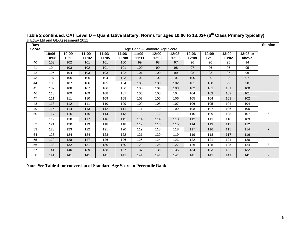| Raw<br><b>Score</b> |                    |                    |                    |                    |                    |                    | Age Band - Standard Age Score |                    |                    |                    |                    |                   | <b>Stanine</b>   |
|---------------------|--------------------|--------------------|--------------------|--------------------|--------------------|--------------------|-------------------------------|--------------------|--------------------|--------------------|--------------------|-------------------|------------------|
|                     | $10:06 -$<br>10:08 | $10:09 -$<br>10:11 | $11:00 -$<br>11:02 | $11:03 -$<br>11:05 | $11:06 -$<br>11:08 | $11:09 -$<br>11:11 | $12:00 -$<br>12:02            | $12:03 -$<br>12:05 | $12:06 -$<br>12:08 | $12:09 -$<br>12:11 | $13:00 -$<br>13:02 | 13:03 or<br>above |                  |
| 40                  | 103                | 102                | 101                | 101                | 100                | 99                 | 98                            | 97                 | 96                 | 96                 | 95                 | 94                |                  |
| 41                  | 104                | 103                | 102                | 101                | 101                | 100                | 99                            | 98                 | 97                 | 96                 | 96                 | 95                | 4                |
| 42                  | 105                | 104                | 103                | 103                | 102                | 101                | 100                           | 99                 | 98                 | 98                 | 97                 | 96                |                  |
| 43                  | 107                | 106                | 105                | 104                | 103                | 102                | 102                           | 101                | 100                | 99                 | 98                 | 97                |                  |
| 44                  | 108                | 107                | 106                | 105                | 104                | 103                | 103                           | 102                | 101                | 100                | 99                 | 98                |                  |
| 45                  | 109                | 108                | 107                | 106                | 106                | 105                | 104                           | 103                | 102                | 101                | 101                | 100               | 5                |
| 46                  | 110                | 109                | 109                | 108                | 107                | 106                | 105                           | 104                | 104                | 103                | 102                | 101               |                  |
| 47                  | 111                | 111                | 110                | 109                | 108                | 107                | 106                           | 106                | 105                | 104                | 103                | 102               |                  |
| 48                  | 113                | 112                | 111                | 110                | 109                | 109                | 108                           | 107                | 106                | 105                | 104                | 104               |                  |
| 49                  | 115                | 114                | 113                | 112                | 111                | 111                | 110                           | 109                | 108                | 107                | 106                | 106               |                  |
| 50                  | 117                | 116                | 115                | 114                | 113                | 113                | 112                           | 111                | 110                | 109                | 108                | 107               | 6                |
| 51                  | 119                | 118                | 117                | 116                | 115                | 114                | 114                           | 113                | 112                | 111                | 110                | 109               |                  |
| 52                  | 121                | 120                | 119                | 118                | 118                | 117                | 116                           | 115                | 114                | 113                | 113                | 112               |                  |
| 53                  | 123                | 123                | 122                | 121                | 120                | 119                | 118                           | 118                | 117                | 116                | 115                | 114               | $\overline{7}$   |
| 54                  | 125                | 124                | 124                | 123                | 122                | 121                | 120                           | 119                | 119                | 118                | 117                | 116               |                  |
| 55                  | 129                | 128                | 127                | 126                | 126                | 125                | 124                           | 123                | 122                | 121                | 121                | 120               |                  |
| 56                  | 133                | 132                | 131                | 130                | 130                | 129                | 128                           | 127                | 126                | 125                | 125                | 124               | 8                |
| 57                  | 141                | 140                | 139                | 138                | 137                | 137                | 136                           | 135                | 134                | 133                | 132                | 132               |                  |
| 58                  | 141                | 141                | 141                | 141                | 141                | 141                | 141                           | 141                | 141                | 141                | 141                | 141               | $\boldsymbol{9}$ |

**Table 2 continued. CAT Level D – Quantitative Battery: Norms for ages 10:06 to 13:03+ (6th Class Primary typically)** © EdEv Ltd and GL-Assessment 2011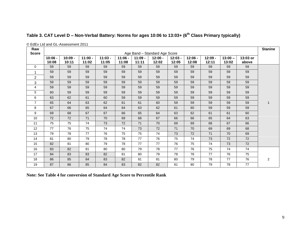| Raw<br><b>Score</b> |                    | $\bullet$ LuLy Liu and OL Mootoonicht Lot it |                    |                    |                    |                    | Age Band - Standard Age Score |                    |                    |                    |                    |                   | <b>Stanine</b> |
|---------------------|--------------------|----------------------------------------------|--------------------|--------------------|--------------------|--------------------|-------------------------------|--------------------|--------------------|--------------------|--------------------|-------------------|----------------|
|                     | $10:06 -$<br>10:08 | $10:09 -$<br>10:11                           | $11:00 -$<br>11:02 | $11:03 -$<br>11:05 | $11:06 -$<br>11:08 | $11:09 -$<br>11:11 | $12:00 -$<br>12:02            | $12:03 -$<br>12:05 | $12:06 -$<br>12:08 | $12:09 -$<br>12:11 | $13:00 -$<br>13:02 | 13:03 or<br>above |                |
| $\Omega$            | 59                 | 59                                           | 59                 | 59                 | 59                 | 59                 | 59                            | 59                 | 59                 | 59                 | 59                 | 59                |                |
| -1                  | 59                 | 59                                           | 59                 | 59                 | 59                 | 59                 | 59                            | 59                 | 59                 | 59                 | 59                 | 59                |                |
| $\overline{2}$      | 59                 | 59                                           | 59                 | 59                 | 59                 | 59                 | 59                            | 59                 | 59                 | 59                 | 59                 | 59                |                |
| 3                   | 59                 | 59                                           | 59                 | 59                 | 59                 | 59                 | 59                            | 59                 | 59                 | 59                 | 59                 | 59                |                |
| $\overline{4}$      | 59                 | 59                                           | 59                 | 59                 | 59                 | 59                 | 59                            | 59                 | 59                 | 59                 | 59                 | 59                |                |
| 5                   | 60                 | 59                                           | 59                 | 59                 | 59                 | 59                 | 59                            | 59                 | 59                 | 59                 | 59                 | 59                |                |
| 6                   | 63                 | 62                                           | 61                 | 60                 | 59                 | 59                 | 59                            | 59                 | 59                 | 59                 | 59                 | 59                |                |
| $\overline{7}$      | 65                 | 64                                           | 63                 | 62                 | 61                 | 61                 | 60                            | 59                 | 59                 | 59                 | 59                 | 59                |                |
| 8                   | 67                 | 66                                           | 65                 | 64                 | 64                 | 63                 | 62                            | 61                 | 60                 | 59                 | 59                 | 59                |                |
| 9                   | 69                 | 68                                           | 67                 | 67                 | 66                 | 65                 | 64                            | 63                 | 62                 | 61                 | 61                 | 60                |                |
| 10                  | 72                 | 72                                           | 71                 | 70                 | 69                 | 68                 | 67                            | 66                 | 66                 | 65                 | 64                 | 63                |                |
| 11                  | 75                 | 75                                           | 74                 | 73                 | 72                 | 71                 | 70                            | 69                 | 69                 | 68                 | 67                 | 66                |                |
| 12                  | 77                 | 76                                           | 75                 | 74                 | 74                 | 73                 | 72                            | 71                 | 70                 | 69                 | 69                 | 68                |                |
| 13                  | 79                 | 78                                           | 77                 | 76                 | 75                 | 75                 | 74                            | 73                 | 72                 | 71                 | 70                 | 69                |                |
| 14                  | 81                 | 80                                           | 79                 | 78                 | 78                 | 77                 | 76                            | 75                 | 74                 | 73                 | 72                 | 72                |                |
| 15                  | 82                 | 81                                           | 80                 | 79                 | 78                 | 77                 | 77                            | 76                 | 75                 | 74                 | 73                 | 72                |                |
| 16                  | 83                 | 82                                           | 81                 | 80                 | 80                 | 79                 | 78                            | 77                 | 76                 | 75                 | 74                 | 74                |                |
| 17                  | 84                 | 83                                           | 83                 | 82                 | 81                 | 80                 | 79                            | 78                 | 78                 | 77                 | 76                 | 75                |                |
| 18                  | 86                 | 85                                           | 84                 | 83                 | 82                 | 81                 | 81                            | 80                 | 79                 | 78                 | 77                 | 76                | $\overline{a}$ |
| 19                  | 87                 | 86                                           | 85                 | 84                 | 83                 | 82                 | 82                            | 81                 | 80                 | 79                 | 78                 | 77                |                |

### **Table 3. CAT Level D – Non-Verbal Battery: Norms for ages 10:06 to 13:03+ (6th Class Primary typically)**

© EdEv Ltd and GL-Assessment 2011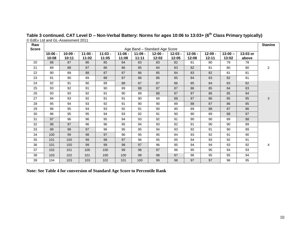| Raw<br><b>Score</b> |                    |                    |                    |                    |                    |                    | Age Band - Standard Age Score |                    |                    |                    |                    |                   | <b>Stanine</b> |
|---------------------|--------------------|--------------------|--------------------|--------------------|--------------------|--------------------|-------------------------------|--------------------|--------------------|--------------------|--------------------|-------------------|----------------|
|                     | $10:06 -$<br>10:08 | $10:09 -$<br>10:11 | $11:00 -$<br>11:02 | $11:03 -$<br>11:05 | $11:06 -$<br>11:08 | $11:09 -$<br>11:11 | $12:00 -$<br>12:02            | $12:03 -$<br>12:05 | $12:06 -$<br>12:08 | $12:09 -$<br>12:11 | $13:00 -$<br>13:02 | 13:03 or<br>above |                |
| 20                  | 88                 | 87                 | 86                 | 85                 | 84                 | 83                 | 83                            | 82                 | 81                 | 80                 | 79                 | 78                |                |
| 21                  | 89                 | 88                 | 87                 | 86                 | 86                 | 85                 | 84                            | 83                 | 82                 | 81                 | 80                 | 80                | $\overline{2}$ |
| 22                  | 90                 | 89                 | 88                 | 87                 | 87                 | 86                 | 85                            | 84                 | 83                 | 82                 | 81                 | 81                |                |
| 23                  | 91                 | 90                 | 89                 | 88                 | 87                 | 86                 | 86                            | 85                 | 84                 | 83                 | 82                 | 81                |                |
| 24                  | 92                 | 91                 | 90                 | 89                 | 88                 | 87                 | 87                            | 86                 | 85                 | 84                 | 83                 | 82                |                |
| 25                  | 93                 | 92                 | 91                 | 90                 | 89                 | 88                 | 87                            | 87                 | 86                 | 85                 | 84                 | 83                |                |
| 26                  | 93                 | 93                 | 92                 | 91                 | 90                 | 89                 | 88                            | 87                 | 87                 | 86                 | 85                 | 84                |                |
| 27                  | 94                 | 93                 | 92                 | 91                 | 91                 | 90                 | 89                            | 88                 | 87                 | 86                 | 85                 | 85                | 3              |
| 28                  | 95                 | 94                 | 93                 | 92                 | 91                 | 90                 | 90                            | 89                 | 88                 | 87                 | 86                 | 85                |                |
| 29                  | 96                 | 95                 | 94                 | 93                 | 92                 | 91                 | 90                            | 90                 | 89                 | 88                 | 87                 | 86                |                |
| 30                  | 96                 | 95                 | 95                 | 94                 | 93                 | 92                 | 91                            | 90                 | 90                 | 89                 | 88                 | 87                |                |
| 31                  | 97                 | 96                 | 96                 | 95                 | 94                 | 93                 | 92                            | 91                 | 90                 | 90                 | 89                 | 88                |                |
| 32                  | 98                 | 97                 | 96                 | 96                 | 95                 | 94                 | 93                            | 92                 | 91                 | 90                 | 90                 | 89                |                |
| 33                  | 99                 | 98                 | 97                 | 96                 | 95                 | 95                 | 94                            | 93                 | 92                 | 91                 | 90                 | 89                |                |
| 34                  | 100                | 99                 | 98                 | 97                 | 96                 | 95                 | 95                            | 94                 | 93                 | 92                 | 91                 | 90                |                |
| 35                  | 101                | 100                | 99                 | 98                 | 97                 | 96                 | 95                            | 95                 | 94                 | 93                 | 92                 | 91                |                |
| 36                  | 101                | 100                | 99                 | 99                 | 98                 | 97                 | 96                            | 95                 | 94                 | 94                 | 93                 | 92                | 4              |
| 37                  | 102                | 101                | 100                | 100                | 99                 | 98                 | 97                            | 96                 | 95                 | 95                 | 94                 | 93                |                |
| 38                  | 103                | 102                | 101                | 100                | 100                | 99                 | 98                            | 97                 | 96                 | 95                 | 95                 | 94                |                |
| 39                  | 104                | 103                | 103                | 102                | 101                | 100                | 99                            | 98                 | 97                 | 97                 | 96                 | 95                |                |

**Table 3 continued. CAT Level D – Non-Verbal Battery: Norms for ages 10:06 to 13:03+ (6th Class Primary typically)** © EdEv Ltd and GL-Assessment 2011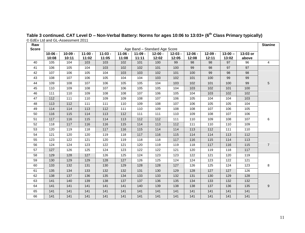| Raw          |                    |                    |                    |                    |                    |                    |                               |                    |                    |                    |                    |                   | <b>Stanine</b> |
|--------------|--------------------|--------------------|--------------------|--------------------|--------------------|--------------------|-------------------------------|--------------------|--------------------|--------------------|--------------------|-------------------|----------------|
| <b>Score</b> |                    |                    |                    |                    |                    |                    | Age Band - Standard Age Score |                    |                    |                    |                    |                   |                |
|              | $10:06 -$<br>10:08 | $10:09 -$<br>10:11 | $11:00 -$<br>11:02 | $11:03 -$<br>11:05 | $11:06 -$<br>11:08 | $11:09 -$<br>11:11 | $12:00 -$<br>12:02            | $12:03 -$<br>12:05 | $12:06 -$<br>12:08 | $12:09 -$<br>12:11 | $13:00 -$<br>13:02 | 13:03 or<br>above |                |
| 40           | 105                | 104                | 103                | 103                | 102                | 101                | 100                           | 99                 | 98                 | 98                 | 97                 | 96                | $\overline{4}$ |
| 41           | 106                | 105                | 104                | 103                | 102                | 102                | 101                           | 100                | 99                 | 98                 | 97                 | 97                |                |
| 42           | 107                | 106                | 105                | 104                | 103                | 103                | 102                           | 101                | 100                | 99                 | 98                 | 98                |                |
| 43           | 108                | 107                | 106                | 105                | 104                | 104                | 103                           | 102                | 101                | 100                | 99                 | 99                |                |
| 44           | 109                | 108                | 107                | 106                | 105                | 105                | 104                           | 103                | 102                | 101                | 100                | 99                | 5              |
| 45           | 110                | 109                | 108                | 107                | 106                | 105                | 105                           | 104                | 103                | 102                | 101                | 100               |                |
| 46           | 111                | 110                | 109                | 108                | 108                | 107                | 106                           | 105                | 104                | 103                | 102                | 102               |                |
| 47           | 112                | 111                | 110                | 109                | 109                | 108                | 107                           | 106                | 105                | 104                | 104                | 103               |                |
| 48           | 113                | 112                | 111                | 111                | 110                | 109                | 108                           | 107                | 106                | 105                | 105                | 104               |                |
| 49           | 114                | 114                | 113                | 112                | 111                | 110                | 109                           | 108                | 108                | 107                | 106                | 105               |                |
| 50           | 116                | 115                | 114                | 113                | 112                | 111                | 111                           | 110                | 109                | 108                | 107                | 106               |                |
| 51           | 117                | 116                | 115                | 114                | 113                | 112                | 112                           | 111                | 110                | 109                | 108                | 107               | 6              |
| 52           | 118                | 117                | 116                | 116                | 115                | 114                | 113                           | 112                | 111                | 110                | 110                | 109               |                |
| 53           | 120                | 119                | 118                | 117                | 116                | 115                | 114                           | 114                | 113                | 112                | 111                | 110               |                |
| 54           | 121                | 120                | 120                | 119                | 118                | 117                | 116                           | 115                | 114                | 114                | 113                | 112               |                |
| 55           | 123                | 122                | 121                | 120                | 119                | 118                | 118                           | 117                | 116                | 115                | 114                | 113               |                |
| 56           | 124                | 124                | 123                | 122                | 121                | 120                | 119                           | 119                | 118                | 117                | 116                | 115               | $\overline{7}$ |
| 57           | 127                | 126                | 125                | 124                | 123                | 122                | 122                           | 121                | 120                | 119                | 118                | 117               |                |
| 58           | 129                | 128                | 127                | 126                | 125                | 124                | 123                           | 123                | 122                | 121                | 120                | 119               |                |
| 59           | 130                | 129                | 129                | 128                | 127                | 126                | 125                           | 124                | 124                | 123                | 122                | 121               |                |
| 60           | 133                | 132                | 131                | 130                | 129                | 128                | 128                           | 127                | 126                | 125                | 124                | 123               | 8              |
| 61           | 135                | 134                | 133                | 132                | 132                | 131                | 130                           | 129                | 128                | 127                | 127                | 126               |                |
| 62           | 138                | 137                | 136                | 135                | 134                | 133                | 133                           | 132                | 131                | 130                | 129                | 128               |                |
| 63           | 141                | 140                | 139                | 138                | 137                | 137                | 136                           | 135                | 134                | 133                | 132                | 132               |                |
| 64           | 141                | 141                | 141                | 141                | 141                | 140                | 139                           | 138                | 138                | 137                | 136                | 135               | 9              |
| 65           | 141                | 141                | 141                | 141                | 141                | 141                | 141                           | 141                | 141                | 141                | 141                | 141               |                |
| 66           | 141                | 141                | 141                | 141                | 141                | 141                | 141                           | 141                | 141                | 141                | 141                | 141               |                |

#### **Table 3 continued. CAT Level D – Non-Verbal Battery: Norms for ages 10:06 to 13:03+ (6th Class Primary typically)** © EdEv Ltd and GL-Assessment 2011